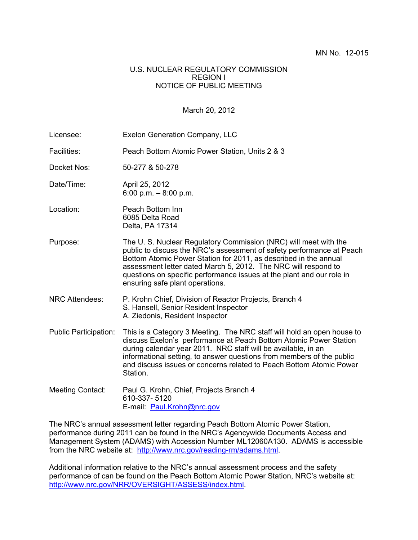## U.S. NUCLEAR REGULATORY COMMISSION REGION I NOTICE OF PUBLIC MEETING

## March 20, 2012

| Licensee:                    | Exelon Generation Company, LLC                                                                                                                                                                                                                                                                                                                                                             |
|------------------------------|--------------------------------------------------------------------------------------------------------------------------------------------------------------------------------------------------------------------------------------------------------------------------------------------------------------------------------------------------------------------------------------------|
| Facilities:                  | Peach Bottom Atomic Power Station, Units 2 & 3                                                                                                                                                                                                                                                                                                                                             |
| Docket Nos:                  | 50-277 & 50-278                                                                                                                                                                                                                                                                                                                                                                            |
| Date/Time:                   | April 25, 2012<br>6:00 p.m. $-8:00$ p.m.                                                                                                                                                                                                                                                                                                                                                   |
| Location:                    | Peach Bottom Inn<br>6085 Delta Road<br>Delta, PA 17314                                                                                                                                                                                                                                                                                                                                     |
| Purpose:                     | The U.S. Nuclear Regulatory Commission (NRC) will meet with the<br>public to discuss the NRC's assessment of safety performance at Peach<br>Bottom Atomic Power Station for 2011, as described in the annual<br>assessment letter dated March 5, 2012. The NRC will respond to<br>questions on specific performance issues at the plant and our role in<br>ensuring safe plant operations. |
| <b>NRC Attendees:</b>        | P. Krohn Chief, Division of Reactor Projects, Branch 4<br>S. Hansell, Senior Resident Inspector<br>A. Ziedonis, Resident Inspector                                                                                                                                                                                                                                                         |
| <b>Public Participation:</b> | This is a Category 3 Meeting. The NRC staff will hold an open house to<br>discuss Exelon's performance at Peach Bottom Atomic Power Station<br>during calendar year 2011. NRC staff will be available, in an<br>informational setting, to answer questions from members of the public<br>and discuss issues or concerns related to Peach Bottom Atomic Power<br>Station.                   |
| <b>Meeting Contact:</b>      | Paul G. Krohn, Chief, Projects Branch 4<br>610-337-5120<br>E-mail: Paul.Krohn@nrc.gov                                                                                                                                                                                                                                                                                                      |

The NRC's annual assessment letter regarding Peach Bottom Atomic Power Station, performance during 2011 can be found in the NRC's Agencywide Documents Access and Management System (ADAMS) with Accession Number ML12060A130. ADAMS is accessible from the NRC website at: http://www.nrc.gov/reading-rm/adams.html.

Additional information relative to the NRC's annual assessment process and the safety performance of can be found on the Peach Bottom Atomic Power Station, NRC's website at: http://www.nrc.gov/NRR/OVERSIGHT/ASSESS/index.html.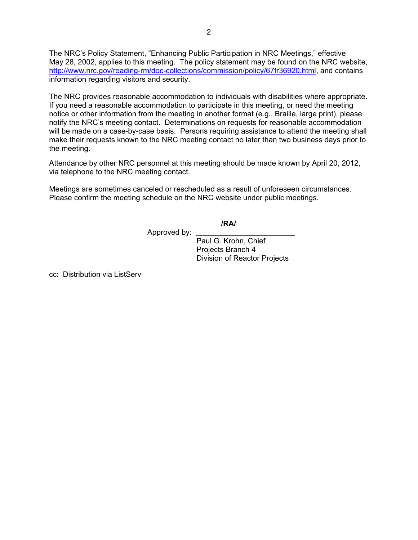The NRC's Policy Statement, "Enhancing Public Participation in NRC Meetings," effective May 28, 2002, applies to this meeting. The policy statement may be found on the NRC website, http://www.nrc.gov/reading-rm/doc-collections/commission/policy/67fr36920.html, and contains information regarding visitors and security.

The NRC provides reasonable accommodation to individuals with disabilities where appropriate. If you need a reasonable accommodation to participate in this meeting, or need the meeting notice or other information from the meeting in another format (e.g., Braille, large print), please notify the NRC's meeting contact. Determinations on requests for reasonable accommodation will be made on a case-by-case basis. Persons requiring assistance to attend the meeting shall make their requests known to the NRC meeting contact no later than two business days prior to the meeting.

Attendance by other NRC personnel at this meeting should be made known by April 20, 2012, via telephone to the NRC meeting contact.

Meetings are sometimes canceled or rescheduled as a result of unforeseen circumstances. Please confirm the meeting schedule on the NRC website under public meetings.

**/RA/** 

Approved by:

 Paul G. Krohn, Chief Projects Branch 4 Division of Reactor Projects

cc: Distribution via ListServ